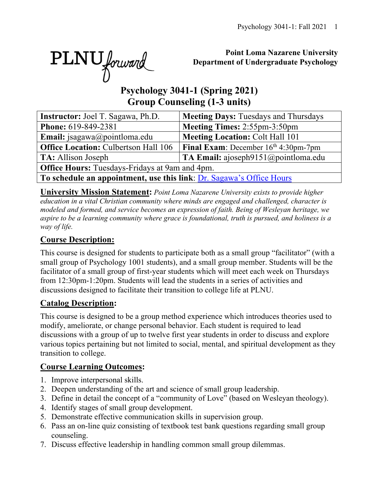PLNU forward

### **Point Loma Nazarene University Department of Undergraduate Psychology**

# **Psychology 3041-1 (Spring 2021) Group Counseling (1-3 units)**

| <b>Instructor:</b> Joel T. Sagawa, Ph.D.                             | <b>Meeting Days: Tuesdays and Thursdays</b>   |  |  |  |  |  |  |
|----------------------------------------------------------------------|-----------------------------------------------|--|--|--|--|--|--|
| Phone: 619-849-2381                                                  | Meeting Times: 2:55pm-3:50pm                  |  |  |  |  |  |  |
| Email: jsagawa@pointloma.edu                                         | <b>Meeting Location: Colt Hall 101</b>        |  |  |  |  |  |  |
| <b>Office Location: Culbertson Hall 106</b>                          | <b>Final Exam:</b> December $16th$ 4:30pm-7pm |  |  |  |  |  |  |
| TA: Allison Joseph                                                   | TA Email: ajoseph $9151$ @ pointloma.edu      |  |  |  |  |  |  |
| <b>Office Hours:</b> Tuesdays-Fridays at 9am and 4pm.                |                                               |  |  |  |  |  |  |
| To schedule an appointment, use this link: Dr. Sagawa's Office Hours |                                               |  |  |  |  |  |  |

**University Mission Statement:** *Point Loma Nazarene University exists to provide higher education in a vital Christian community where minds are engaged and challenged, character is modeled and formed, and service becomes an expression of faith. Being of Wesleyan heritage, we aspire to be a learning community where grace is foundational, truth is pursued, and holiness is a way of life.*

## **Course Description:**

This course is designed for students to participate both as a small group "facilitator" (with a small group of Psychology 1001 students), and a small group member. Students will be the facilitator of a small group of first-year students which will meet each week on Thursdays from 12:30pm-1:20pm. Students will lead the students in a series of activities and discussions designed to facilitate their transition to college life at PLNU.

## **Catalog Description:**

This course is designed to be a group method experience which introduces theories used to modify, ameliorate, or change personal behavior. Each student is required to lead discussions with a group of up to twelve first year students in order to discuss and explore various topics pertaining but not limited to social, mental, and spiritual development as they transition to college.

### **Course Learning Outcomes:**

- 1. Improve interpersonal skills.
- 2. Deepen understanding of the art and science of small group leadership.
- 3. Define in detail the concept of a "community of Love" (based on Wesleyan theology).
- 4. Identify stages of small group development.
- 5. Demonstrate effective communication skills in supervision group.
- 6. Pass an on-line quiz consisting of textbook test bank questions regarding small group counseling.
- 7. Discuss effective leadership in handling common small group dilemmas.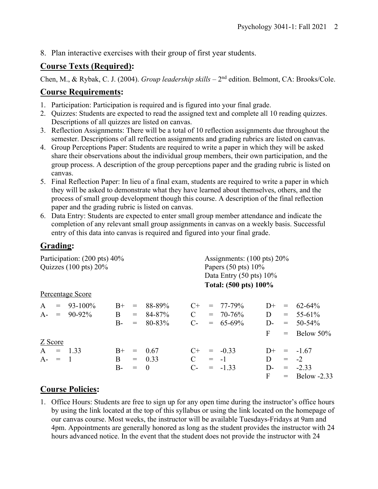8. Plan interactive exercises with their group of first year students.

### **Course Texts (Required):**

Chen, M., & Rybak, C. J. (2004). *Group leadership skills* – 2<sup>nd</sup> edition. Belmont, CA: Brooks/Cole.

#### **Course Requirements:**

- 1. Participation: Participation is required and is figured into your final grade.
- 2. Quizzes: Students are expected to read the assigned text and complete all 10 reading quizzes. Descriptions of all quizzes are listed on canvas.
- 3. Reflection Assignments: There will be a total of 10 reflection assignments due throughout the semester. Descriptions of all reflection assignments and grading rubrics are listed on canvas.
- 4. Group Perceptions Paper: Students are required to write a paper in which they will be asked share their observations about the individual group members, their own participation, and the group process. A description of the group perceptions paper and the grading rubric is listed on canvas.
- 5. Final Reflection Paper: In lieu of a final exam, students are required to write a paper in which they will be asked to demonstrate what they have learned about themselves, others, and the process of small group development though this course. A description of the final reflection paper and the grading rubric is listed on canvas.
- 6. Data Entry: Students are expected to enter small group member attendance and indicate the completion of any relevant small group assignments in canvas on a weekly basis. Successful entry of this data into canvas is required and figured into your final grade.

#### **Grading:**

| Participation: (200 pts) 40%<br>Quizzes $(100 \text{ pts}) 20\%$ |                  |      |       |          |              | Assignments: $(100 \text{ pts}) 20\%$<br>Papers $(50 \text{ pts}) 10\%$<br>Data Entry $(50 \text{ pts}) 10\%$ |                       |              |                                 |                 |  |
|------------------------------------------------------------------|------------------|------|-------|----------|--------------|---------------------------------------------------------------------------------------------------------------|-----------------------|--------------|---------------------------------|-----------------|--|
|                                                                  | Percentage Score |      |       |          |              |                                                                                                               | Total: (500 pts) 100% |              |                                 |                 |  |
|                                                                  |                  |      |       |          |              |                                                                                                               |                       |              |                                 |                 |  |
| $\mathbf{A}$                                                     | $= 93-100\%$     | $B+$ | $=$   | 88-89%   | $C+$         |                                                                                                               | $= 77 - 79\%$         | $D+$         | $\displaystyle \qquad \qquad =$ | 62-64%          |  |
|                                                                  | $A - = 90-92\%$  | B    | $=$   | 84-87%   | $\mathbf{C}$ |                                                                                                               | $= 70 - 76\%$         | D            |                                 | $= 55-61\%$     |  |
|                                                                  |                  | $B-$ | $=$   | 80-83%   | $C$ -        |                                                                                                               | $= 65-69\%$           | $D-$         | $=$ $-$                         | $50 - 54\%$     |  |
|                                                                  |                  |      |       |          |              |                                                                                                               |                       | $\mathbf{F}$ | $=$                             | Below 50%       |  |
| Z Score                                                          |                  |      |       |          |              |                                                                                                               |                       |              |                                 |                 |  |
| $A = 1.33$                                                       |                  | $B+$ | $=$   | - 0.67   | $C+$         |                                                                                                               | $= -0.33$             | $D+$         |                                 | $= -1.67$       |  |
| $A - = 1$                                                        |                  | B    |       | $= 0.33$ | $\mathbf C$  | $= -1$                                                                                                        |                       | D            | $=$                             | $-2$            |  |
|                                                                  |                  | B-   | $=$ 0 |          | $C-$         |                                                                                                               | $= -1.33$             | D-           |                                 | $= -2.33$       |  |
|                                                                  |                  |      |       |          |              |                                                                                                               |                       | F            |                                 | $=$ Below -2.33 |  |

### **Course Policies:**

1. Office Hours: Students are free to sign up for any open time during the instructor's office hours by using the link located at the top of this syllabus or using the link located on the homepage of our canvas course. Most weeks, the instructor will be available Tuesdays-Fridays at 9am and 4pm. Appointments are generally honored as long as the student provides the instructor with 24 hours advanced notice. In the event that the student does not provide the instructor with 24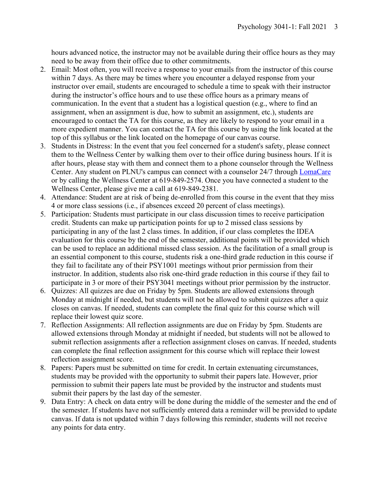hours advanced notice, the instructor may not be available during their office hours as they may need to be away from their office due to other commitments.

- 2. Email: Most often, you will receive a response to your emails from the instructor of this course within 7 days. As there may be times where you encounter a delayed response from your instructor over email, students are encouraged to schedule a time to speak with their instructor during the instructor's office hours and to use these office hours as a primary means of communication. In the event that a student has a logistical question (e.g., where to find an assignment, when an assignment is due, how to submit an assignment, etc.), students are encouraged to contact the TA for this course, as they are likely to respond to your email in a more expedient manner. You can contact the TA for this course by using the link located at the top of this syllabus or the link located on the homepage of our canvas course.
- 3. Students in Distress: In the event that you feel concerned for a student's safety, please connect them to the Wellness Center by walking them over to their office during business hours. If it is after hours, please stay with them and connect them to a phone counselor through the Wellness Center. Any student on PLNU's campus can connect with a counselor 24/7 through **LomaCare** or by calling the Wellness Center at 619-849-2574. Once you have connected a student to the Wellness Center, please give me a call at 619-849-2381.
- 4. Attendance: Student are at risk of being de-enrolled from this course in the event that they miss 4 or more class sessions (i.e., if absences exceed 20 percent of class meetings).
- 5. Participation: Students must participate in our class discussion times to receive participation credit. Students can make up participation points for up to 2 missed class sessions by participating in any of the last 2 class times. In addition, if our class completes the IDEA evaluation for this course by the end of the semester, additional points will be provided which can be used to replace an additional missed class session. As the facilitation of a small group is an essential component to this course, students risk a one-third grade reduction in this course if they fail to facilitate any of their PSY1001 meetings without prior permission from their instructor. In addition, students also risk one-third grade reduction in this course if they fail to participate in 3 or more of their PSY3041 meetings without prior permission by the instructor.
- 6. Quizzes: All quizzes are due on Friday by 5pm. Students are allowed extensions through Monday at midnight if needed, but students will not be allowed to submit quizzes after a quiz closes on canvas. If needed, students can complete the final quiz for this course which will replace their lowest quiz score.
- 7. Reflection Assignments: All reflection assignments are due on Friday by 5pm. Students are allowed extensions through Monday at midnight if needed, but students will not be allowed to submit reflection assignments after a reflection assignment closes on canvas. If needed, students can complete the final reflection assignment for this course which will replace their lowest reflection assignment score.
- 8. Papers: Papers must be submitted on time for credit. In certain extenuating circumstances, students may be provided with the opportunity to submit their papers late. However, prior permission to submit their papers late must be provided by the instructor and students must submit their papers by the last day of the semester.
- 9. Data Entry: A check on data entry will be done during the middle of the semester and the end of the semester. If students have not sufficiently entered data a reminder will be provided to update canvas. If data is not updated within 7 days following this reminder, students will not receive any points for data entry.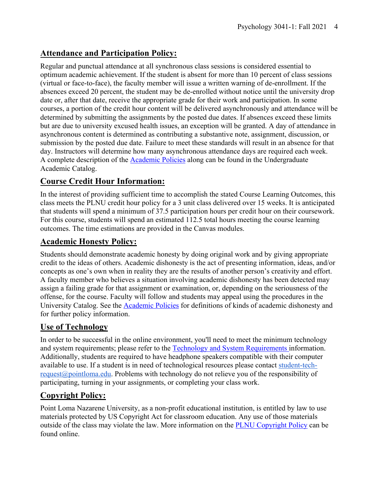## **Attendance and Participation Policy:**

Regular and punctual attendance at all synchronous class sessions is considered essential to optimum academic achievement. If the student is absent for more than 10 percent of class sessions (virtual or face-to-face), the faculty member will issue a written warning of de-enrollment. If the absences exceed 20 percent, the student may be de-enrolled without notice until the university drop date or, after that date, receive the appropriate grade for their work and participation. In some courses, a portion of the credit hour content will be delivered asynchronously and attendance will be determined by submitting the assignments by the posted due dates. If absences exceed these limits but are due to university excused health issues, an exception will be granted. A day of attendance in asynchronous content is determined as contributing a substantive note, assignment, discussion, or submission by the posted due date. Failure to meet these standards will result in an absence for that day. Instructors will determine how many asynchronous attendance days are required each week. A complete description of the Academic Policies along can be found in the Undergraduate Academic Catalog.

### **Course Credit Hour Information:**

In the interest of providing sufficient time to accomplish the stated Course Learning Outcomes, this class meets the PLNU credit hour policy for a 3 unit class delivered over 15 weeks. It is anticipated that students will spend a minimum of 37.5 participation hours per credit hour on their coursework. For this course, students will spend an estimated 112.5 total hours meeting the course learning outcomes. The time estimations are provided in the Canvas modules.

### **Academic Honesty Policy:**

Students should demonstrate academic honesty by doing original work and by giving appropriate credit to the ideas of others. Academic dishonesty is the act of presenting information, ideas, and/or concepts as one's own when in reality they are the results of another person's creativity and effort. A faculty member who believes a situation involving academic dishonesty has been detected may assign a failing grade for that assignment or examination, or, depending on the seriousness of the offense, for the course. Faculty will follow and students may appeal using the procedures in the University Catalog. See the **Academic Policies** for definitions of kinds of academic dishonesty and for further policy information.

### **Use of Technology**

In order to be successful in the online environment, you'll need to meet the minimum technology and system requirements; please refer to the Technology and System Requirements information. Additionally, students are required to have headphone speakers compatible with their computer available to use. If a student is in need of technological resources please contact student-techrequest@pointloma.edu. Problems with technology do not relieve you of the responsibility of participating, turning in your assignments, or completing your class work.

### **Copyright Policy:**

Point Loma Nazarene University, as a non-profit educational institution, is entitled by law to use materials protected by US Copyright Act for classroom education. Any use of those materials outside of the class may violate the law. More information on the PLNU Copyright Policy can be found online.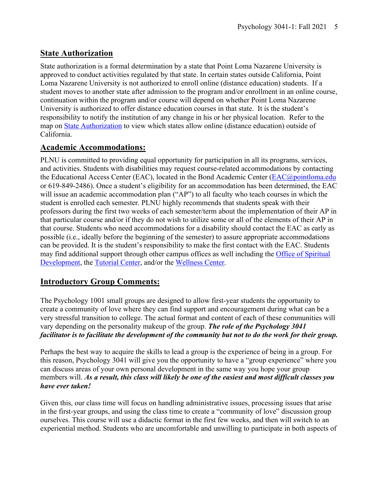### **State Authorization**

State authorization is a formal determination by a state that Point Loma Nazarene University is approved to conduct activities regulated by that state. In certain states outside California, Point Loma Nazarene University is not authorized to enroll online (distance education) students. If a student moves to another state after admission to the program and/or enrollment in an online course, continuation within the program and/or course will depend on whether Point Loma Nazarene University is authorized to offer distance education courses in that state. It is the student's responsibility to notify the institution of any change in his or her physical location. Refer to the map on State Authorization to view which states allow online (distance education) outside of California.

### **Academic Accommodations:**

PLNU is committed to providing equal opportunity for participation in all its programs, services, and activities. Students with disabilities may request course-related accommodations by contacting the Educational Access Center (EAC), located in the Bond Academic Center (EAC@pointloma.edu or 619-849-2486). Once a student's eligibility for an accommodation has been determined, the EAC will issue an academic accommodation plan ("AP") to all faculty who teach courses in which the student is enrolled each semester. PLNU highly recommends that students speak with their professors during the first two weeks of each semester/term about the implementation of their AP in that particular course and/or if they do not wish to utilize some or all of the elements of their AP in that course. Students who need accommodations for a disability should contact the EAC as early as possible (i.e., ideally before the beginning of the semester) to assure appropriate accommodations can be provided. It is the student's responsibility to make the first contact with the EAC. Students may find additional support through other campus offices as well including the Office of Spiritual Development, the Tutorial Center, and/or the Wellness Center.

## **Introductory Group Comments:**

The Psychology 1001 small groups are designed to allow first-year students the opportunity to create a community of love where they can find support and encouragement during what can be a very stressful transition to college. The actual format and content of each of these communities will vary depending on the personality makeup of the group. *The role of the Psychology 3041 facilitator is to facilitate the development of the community but not to do the work for their group.*

Perhaps the best way to acquire the skills to lead a group is the experience of being in a group. For this reason, Psychology 3041 will give you the opportunity to have a "group experience" where you can discuss areas of your own personal development in the same way you hope your group members will. *As a result, this class will likely be one of the easiest and most difficult classes you have ever taken!*

Given this, our class time will focus on handling administrative issues, processing issues that arise in the first-year groups, and using the class time to create a "community of love" discussion group ourselves. This course will use a didactic format in the first few weeks, and then will switch to an experiential method. Students who are uncomfortable and unwilling to participate in both aspects of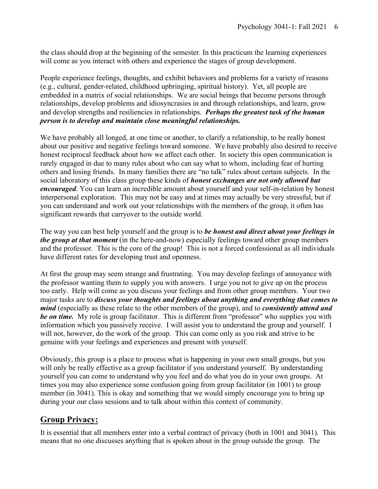the class should drop at the beginning of the semester. In this practicum the learning experiences will come as you interact with others and experience the stages of group development.

People experience feelings, thoughts, and exhibit behaviors and problems for a variety of reasons (e.g., cultural, gender-related, childhood upbringing, spiritual history). Yet, all people are embedded in a matrix of social relationships. We are social beings that become persons through relationships, develop problems and idiosyncrasies in and through relationships, and learn, grow and develop strengths and resiliencies in relationships. *Perhaps the greatest task of the human person is to develop and maintain close meaningful relationships.*

We have probably all longed, at one time or another, to clarify a relationship, to be really honest about our positive and negative feelings toward someone. We have probably also desired to receive honest reciprocal feedback about how we affect each other. In society this open communication is rarely engaged in due to many rules about who can say what to whom, including fear of hurting others and losing friends. In many families there are "no talk" rules about certain subjects. In the social laboratory of this class group these kinds of *honest exchanges are not only allowed but encouraged*. You can learn an incredible amount about yourself and your self-in-relation by honest interpersonal exploration. This may not be easy and at times may actually be very stressful, but if you can understand and work out your relationships with the members of the group, it often has significant rewards that carryover to the outside world.

The way you can best help yourself and the group is to *be honest and direct about your feelings in the group at that moment* (in the here-and-now) especially feelings toward other group members and the professor. This is the core of the group! This is not a forced confessional as all individuals have different rates for developing trust and openness.

At first the group may seem strange and frustrating. You may develop feelings of annoyance with the professor wanting them to supply you with answers. I urge you not to give up on the process too early. Help will come as you discuss your feelings and from other group members. Your two major tasks are to *discuss your thoughts and feelings about anything and everything that comes to mind* (especially as these relate to the other members of the group), and to *consistently attend and be on time.* My role is group facilitator. This is different from "professor" who supplies you with information which you passively receive. I will assist you to understand the group and yourself. I will not, however, do the work of the group. This can come only as you risk and strive to be genuine with your feelings and experiences and present with yourself.

Obviously, this group is a place to process what is happening in your own small groups, but you will only be really effective as a group facilitator if you understand yourself. By understanding yourself you can come to understand why you feel and do what you do in your own groups. At times you may also experience some confusion going from group facilitator (in 1001) to group member (in 3041). This is okay and something that we would simply encourage you to bring up during your our class sessions and to talk about within this context of community.

### **Group Privacy:**

It is essential that all members enter into a verbal contract of privacy (both in 1001 and 3041). This means that no one discusses anything that is spoken about in the group outside the group. The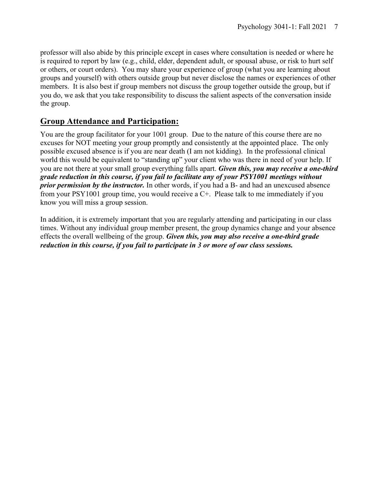professor will also abide by this principle except in cases where consultation is needed or where he is required to report by law (e.g., child, elder, dependent adult, or spousal abuse, or risk to hurt self or others, or court orders). You may share your experience of group (what you are learning about groups and yourself) with others outside group but never disclose the names or experiences of other members. It is also best if group members not discuss the group together outside the group, but if you do, we ask that you take responsibility to discuss the salient aspects of the conversation inside the group.

### **Group Attendance and Participation:**

You are the group facilitator for your 1001 group. Due to the nature of this course there are no excuses for NOT meeting your group promptly and consistently at the appointed place. The only possible excused absence is if you are near death (I am not kidding). In the professional clinical world this would be equivalent to "standing up" your client who was there in need of your help. If you are not there at your small group everything falls apart. *Given this, you may receive a one-third grade reduction in this course, if you fail to facilitate any of your PSY1001 meetings without prior permission by the instructor.* In other words, if you had a B- and had an unexcused absence from your PSY1001 group time, you would receive a C+. Please talk to me immediately if you know you will miss a group session.

In addition, it is extremely important that you are regularly attending and participating in our class times. Without any individual group member present, the group dynamics change and your absence effects the overall wellbeing of the group. *Given this, you may also receive a one-third grade reduction in this course, if you fail to participate in 3 or more of our class sessions.*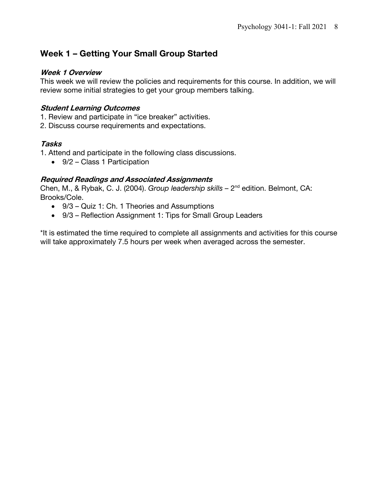## **Week 1 – Getting Your Small Group Started**

#### **Week 1 Overview**

This week we will review the policies and requirements for this course. In addition, we will review some initial strategies to get your group members talking.

#### **Student Learning Outcomes**

- 1. Review and participate in "ice breaker" activities.
- 2. Discuss course requirements and expectations.

#### **Tasks**

1. Attend and participate in the following class discussions.

• 9/2 – Class 1 Participation

#### **Required Readings and Associated Assignments**

Chen, M., & Rybak, C. J. (2004). *Group leadership skills –* 2nd edition. Belmont, CA: Brooks/Cole.

- 9/3 Quiz 1: Ch. 1 Theories and Assumptions
- 9/3 Reflection Assignment 1: Tips for Small Group Leaders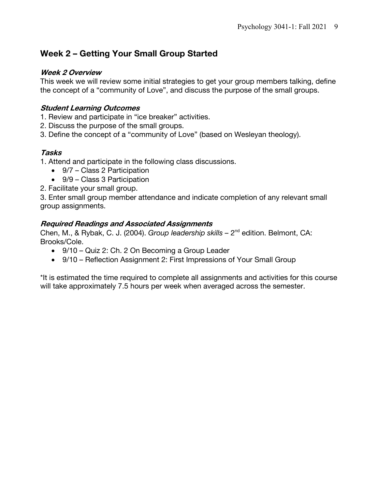## **Week 2 – Getting Your Small Group Started**

#### **Week 2 Overview**

This week we will review some initial strategies to get your group members talking, define the concept of a "community of Love", and discuss the purpose of the small groups.

#### **Student Learning Outcomes**

- 1. Review and participate in "ice breaker" activities.
- 2. Discuss the purpose of the small groups.
- 3. Define the concept of a "community of Love" (based on Wesleyan theology).

#### **Tasks**

1. Attend and participate in the following class discussions.

- 9/7 Class 2 Participation
- 9/9 Class 3 Participation
- 2. Facilitate your small group.

3. Enter small group member attendance and indicate completion of any relevant small group assignments.

#### **Required Readings and Associated Assignments**

Chen, M., & Rybak, C. J. (2004). *Group leadership skills –* 2nd edition. Belmont, CA: Brooks/Cole.

- 9/10 Quiz 2: Ch. 2 On Becoming a Group Leader
- 9/10 Reflection Assignment 2: First Impressions of Your Small Group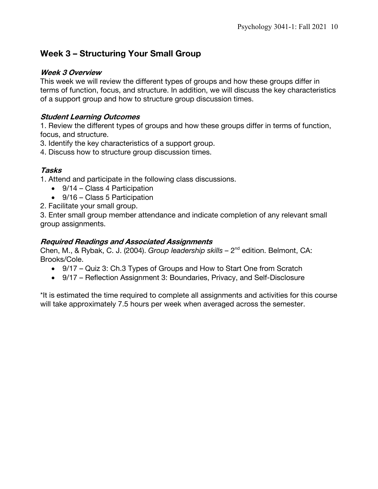## **Week 3 – Structuring Your Small Group**

#### **Week 3 Overview**

This week we will review the different types of groups and how these groups differ in terms of function, focus, and structure. In addition, we will discuss the key characteristics of a support group and how to structure group discussion times.

#### **Student Learning Outcomes**

1. Review the different types of groups and how these groups differ in terms of function, focus, and structure.

3. Identify the key characteristics of a support group.

4. Discuss how to structure group discussion times.

#### **Tasks**

1. Attend and participate in the following class discussions.

- 9/14 Class 4 Participation
- 9/16 Class 5 Participation
- 2. Facilitate your small group.

3. Enter small group member attendance and indicate completion of any relevant small group assignments.

#### **Required Readings and Associated Assignments**

Chen, M., & Rybak, C. J. (2004). *Group leadership skills –* 2nd edition. Belmont, CA: Brooks/Cole.

- 9/17 Quiz 3: Ch.3 Types of Groups and How to Start One from Scratch
- 9/17 Reflection Assignment 3: Boundaries, Privacy, and Self-Disclosure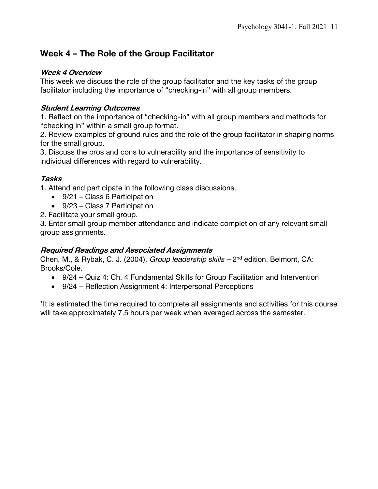# **Week 4 – The Role of the Group Facilitator**

#### **Week 4 Overview**

This week we discuss the role of the group facilitator and the key tasks of the group facilitator including the importance of "checking-in" with all group members.

### **Student Learning Outcomes**

1. Reflect on the importance of "checking-in" with all group members and methods for "checking in" within a small group format.

2. Review examples of ground rules and the role of the group facilitator in shaping norms for the small group.

3. Discuss the pros and cons to vulnerability and the importance of sensitivity to individual differences with regard to vulnerability.

### **Tasks**

1. Attend and participate in the following class discussions.

- 9/21 Class 6 Participation
- 9/23 Class 7 Participation
- 2. Facilitate your small group.

3. Enter small group member attendance and indicate completion of any relevant small group assignments.

### **Required Readings and Associated Assignments**

Chen, M., & Rybak, C. J. (2004). *Group leadership skills –* 2nd edition. Belmont, CA: Brooks/Cole.

- 9/24 Quiz 4: Ch. 4 Fundamental Skills for Group Facilitation and Intervention
- 9/24 Reflection Assignment 4: Interpersonal Perceptions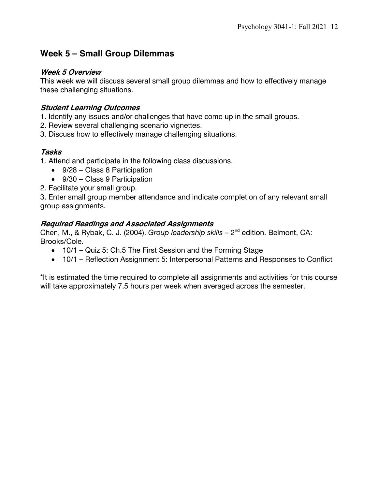## **Week 5 – Small Group Dilemmas**

#### **Week 5 Overview**

This week we will discuss several small group dilemmas and how to effectively manage these challenging situations.

#### **Student Learning Outcomes**

- 1. Identify any issues and/or challenges that have come up in the small groups.
- 2. Review several challenging scenario vignettes.
- 3. Discuss how to effectively manage challenging situations.

#### **Tasks**

- 1. Attend and participate in the following class discussions.
	- 9/28 Class 8 Participation
	- 9/30 Class 9 Participation
- 2. Facilitate your small group.

3. Enter small group member attendance and indicate completion of any relevant small group assignments.

#### **Required Readings and Associated Assignments**

Chen, M., & Rybak, C. J. (2004). *Group leadership skills –* 2nd edition. Belmont, CA: Brooks/Cole.

- 10/1 Quiz 5: Ch.5 The First Session and the Forming Stage
- 10/1 Reflection Assignment 5: Interpersonal Patterns and Responses to Conflict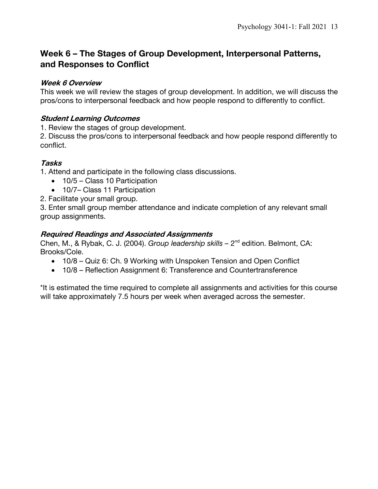## **Week 6 – The Stages of Group Development, Interpersonal Patterns, and Responses to Conflict**

#### **Week 6 Overview**

This week we will review the stages of group development. In addition, we will discuss the pros/cons to interpersonal feedback and how people respond to differently to conflict.

#### **Student Learning Outcomes**

1. Review the stages of group development.

2. Discuss the pros/cons to interpersonal feedback and how people respond differently to conflict.

#### **Tasks**

1. Attend and participate in the following class discussions.

- 10/5 Class 10 Participation
- 10/7– Class 11 Participation

2. Facilitate your small group.

3. Enter small group member attendance and indicate completion of any relevant small group assignments.

#### **Required Readings and Associated Assignments**

Chen, M., & Rybak, C. J. (2004). *Group leadership skills –* 2nd edition. Belmont, CA: Brooks/Cole.

- 10/8 Quiz 6: Ch. 9 Working with Unspoken Tension and Open Conflict
- 10/8 Reflection Assignment 6: Transference and Countertransference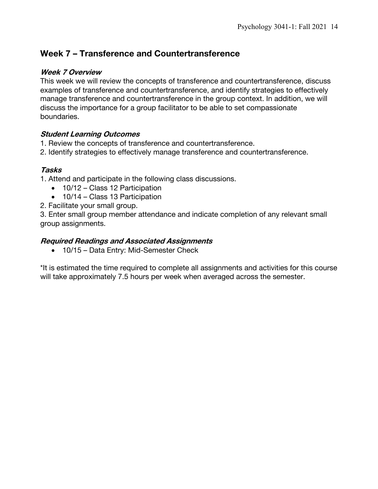## **Week 7 – Transference and Countertransference**

#### **Week 7 Overview**

This week we will review the concepts of transference and countertransference, discuss examples of transference and countertransference, and identify strategies to effectively manage transference and countertransference in the group context. In addition, we will discuss the importance for a group facilitator to be able to set compassionate boundaries.

#### **Student Learning Outcomes**

- 1. Review the concepts of transference and countertransference.
- 2. Identify strategies to effectively manage transference and countertransference.

#### **Tasks**

- 1. Attend and participate in the following class discussions.
	- 10/12 Class 12 Participation
	- 10/14 Class 13 Participation
- 2. Facilitate your small group.

3. Enter small group member attendance and indicate completion of any relevant small group assignments.

#### **Required Readings and Associated Assignments**

• 10/15 – Data Entry: Mid-Semester Check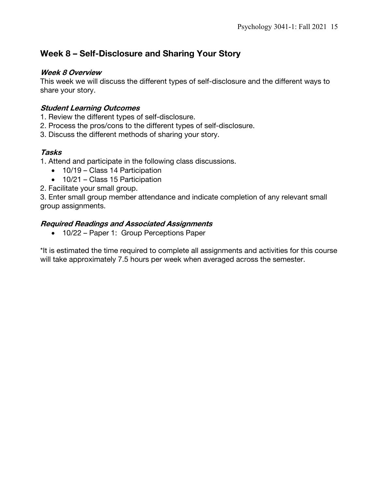## **Week 8 – Self-Disclosure and Sharing Your Story**

#### **Week 8 Overview**

This week we will discuss the different types of self-disclosure and the different ways to share your story.

#### **Student Learning Outcomes**

- 1. Review the different types of self-disclosure.
- 2. Process the pros/cons to the different types of self-disclosure.
- 3. Discuss the different methods of sharing your story.

#### **Tasks**

1. Attend and participate in the following class discussions.

- 10/19 Class 14 Participation
- 10/21 Class 15 Participation
- 2. Facilitate your small group.

3. Enter small group member attendance and indicate completion of any relevant small group assignments.

#### **Required Readings and Associated Assignments**

• 10/22 – Paper 1: Group Perceptions Paper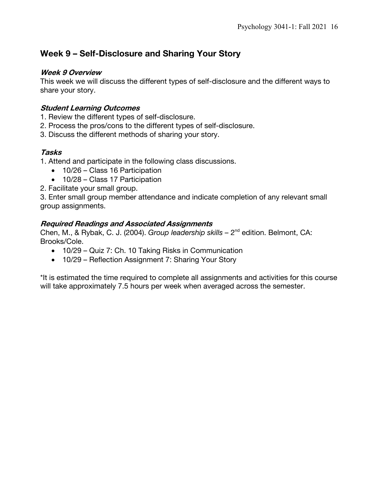## **Week 9 – Self-Disclosure and Sharing Your Story**

#### **Week 9 Overview**

This week we will discuss the different types of self-disclosure and the different ways to share your story.

#### **Student Learning Outcomes**

- 1. Review the different types of self-disclosure.
- 2. Process the pros/cons to the different types of self-disclosure.
- 3. Discuss the different methods of sharing your story.

#### **Tasks**

1. Attend and participate in the following class discussions.

- 10/26 Class 16 Participation
- 10/28 Class 17 Participation
- 2. Facilitate your small group.

3. Enter small group member attendance and indicate completion of any relevant small group assignments.

#### **Required Readings and Associated Assignments**

Chen, M., & Rybak, C. J. (2004). *Group leadership skills –* 2nd edition. Belmont, CA: Brooks/Cole.

- 10/29 Quiz 7: Ch. 10 Taking Risks in Communication
- 10/29 Reflection Assignment 7: Sharing Your Story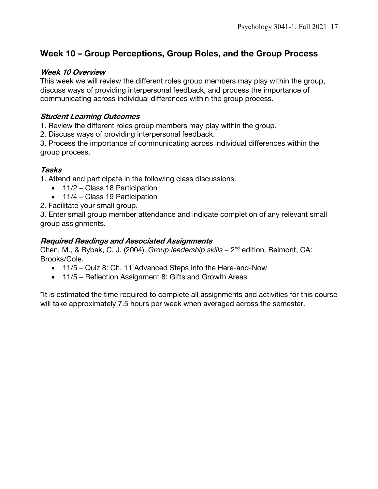## **Week 10 – Group Perceptions, Group Roles, and the Group Process**

#### **Week 10 Overview**

This week we will review the different roles group members may play within the group, discuss ways of providing interpersonal feedback, and process the importance of communicating across individual differences within the group process.

#### **Student Learning Outcomes**

1. Review the different roles group members may play within the group.

2. Discuss ways of providing interpersonal feedback.

3. Process the importance of communicating across individual differences within the group process.

#### **Tasks**

1. Attend and participate in the following class discussions.

- 11/2 Class 18 Participation
- 11/4 Class 19 Participation
- 2. Facilitate your small group.

3. Enter small group member attendance and indicate completion of any relevant small group assignments.

#### **Required Readings and Associated Assignments**

Chen, M., & Rybak, C. J. (2004). *Group leadership skills –* 2nd edition. Belmont, CA: Brooks/Cole.

- 11/5 Quiz 8: Ch. 11 Advanced Steps into the Here-and-Now
- 11/5 Reflection Assignment 8: Gifts and Growth Areas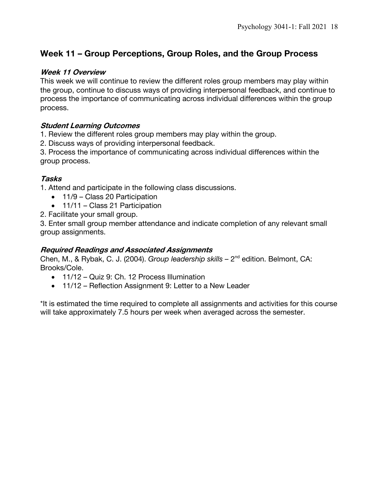# **Week 11 – Group Perceptions, Group Roles, and the Group Process**

#### **Week 11 Overview**

This week we will continue to review the different roles group members may play within the group, continue to discuss ways of providing interpersonal feedback, and continue to process the importance of communicating across individual differences within the group process.

#### **Student Learning Outcomes**

1. Review the different roles group members may play within the group.

2. Discuss ways of providing interpersonal feedback.

3. Process the importance of communicating across individual differences within the group process.

#### **Tasks**

1. Attend and participate in the following class discussions.

- 11/9 Class 20 Participation
- 11/11 Class 21 Participation
- 2. Facilitate your small group.

3. Enter small group member attendance and indicate completion of any relevant small group assignments.

#### **Required Readings and Associated Assignments**

Chen, M., & Rybak, C. J. (2004). *Group leadership skills –* 2nd edition. Belmont, CA: Brooks/Cole.

- 11/12 Quiz 9: Ch. 12 Process Illumination
- 11/12 Reflection Assignment 9: Letter to a New Leader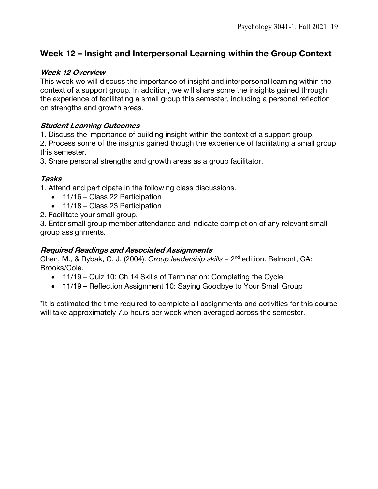## **Week 12 – Insight and Interpersonal Learning within the Group Context**

#### **Week 12 Overview**

This week we will discuss the importance of insight and interpersonal learning within the context of a support group. In addition, we will share some the insights gained through the experience of facilitating a small group this semester, including a personal reflection on strengths and growth areas.

#### **Student Learning Outcomes**

1. Discuss the importance of building insight within the context of a support group.

2. Process some of the insights gained though the experience of facilitating a small group this semester.

3. Share personal strengths and growth areas as a group facilitator.

#### **Tasks**

1. Attend and participate in the following class discussions.

- 11/16 Class 22 Participation
- 11/18 Class 23 Participation
- 2. Facilitate your small group.

3. Enter small group member attendance and indicate completion of any relevant small group assignments.

#### **Required Readings and Associated Assignments**

Chen, M., & Rybak, C. J. (2004). *Group leadership skills –* 2nd edition. Belmont, CA: Brooks/Cole.

- 11/19 Quiz 10: Ch 14 Skills of Termination: Completing the Cycle
- 11/19 Reflection Assignment 10: Saying Goodbye to Your Small Group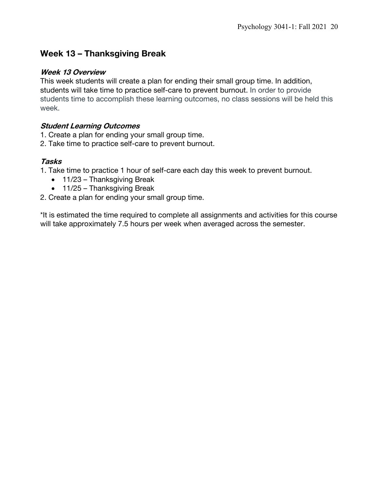## **Week 13 – Thanksgiving Break**

#### **Week 13 Overview**

This week students will create a plan for ending their small group time. In addition, students will take time to practice self-care to prevent burnout. In order to provide students time to accomplish these learning outcomes, no class sessions will be held this week.

#### **Student Learning Outcomes**

- 1. Create a plan for ending your small group time.
- 2. Take time to practice self-care to prevent burnout.

#### **Tasks**

- 1. Take time to practice 1 hour of self-care each day this week to prevent burnout.
	- 11/23 Thanksgiving Break
	- 11/25 Thanksgiving Break
- 2. Create a plan for ending your small group time.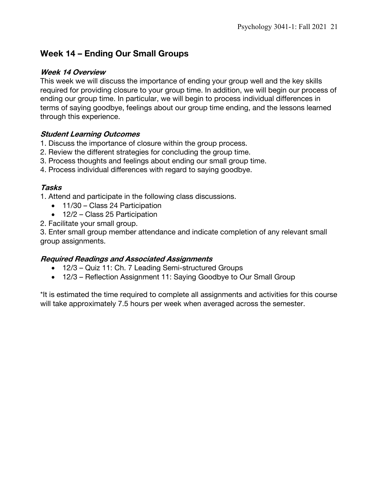## **Week 14 – Ending Our Small Groups**

#### **Week 14 Overview**

This week we will discuss the importance of ending your group well and the key skills required for providing closure to your group time. In addition, we will begin our process of ending our group time. In particular, we will begin to process individual differences in terms of saying goodbye, feelings about our group time ending, and the lessons learned through this experience.

#### **Student Learning Outcomes**

- 1. Discuss the importance of closure within the group process.
- 2. Review the different strategies for concluding the group time.
- 3. Process thoughts and feelings about ending our small group time.
- 4. Process individual differences with regard to saying goodbye.

#### **Tasks**

1. Attend and participate in the following class discussions.

- 11/30 Class 24 Participation
- 12/2 Class 25 Participation
- 2. Facilitate your small group.

3. Enter small group member attendance and indicate completion of any relevant small group assignments.

#### **Required Readings and Associated Assignments**

- 12/3 Quiz 11: Ch. 7 Leading Semi-structured Groups
- 12/3 Reflection Assignment 11: Saying Goodbye to Our Small Group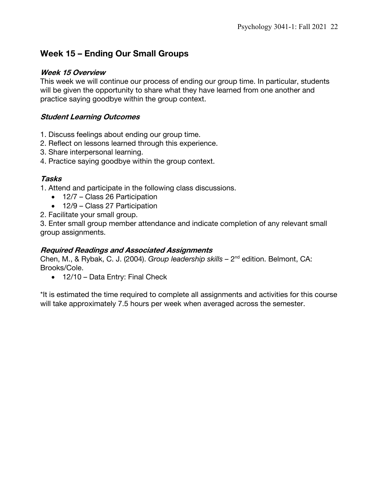## **Week 15 – Ending Our Small Groups**

#### **Week 15 Overview**

This week we will continue our process of ending our group time. In particular, students will be given the opportunity to share what they have learned from one another and practice saying goodbye within the group context.

#### **Student Learning Outcomes**

- 1. Discuss feelings about ending our group time.
- 2. Reflect on lessons learned through this experience.
- 3. Share interpersonal learning.
- 4. Practice saying goodbye within the group context.

#### **Tasks**

1. Attend and participate in the following class discussions.

- 12/7 Class 26 Participation
- 12/9 Class 27 Participation
- 2. Facilitate your small group.

3. Enter small group member attendance and indicate completion of any relevant small group assignments.

#### **Required Readings and Associated Assignments**

Chen, M., & Rybak, C. J. (2004). *Group leadership skills –* 2nd edition. Belmont, CA: Brooks/Cole.

• 12/10 – Data Entry: Final Check